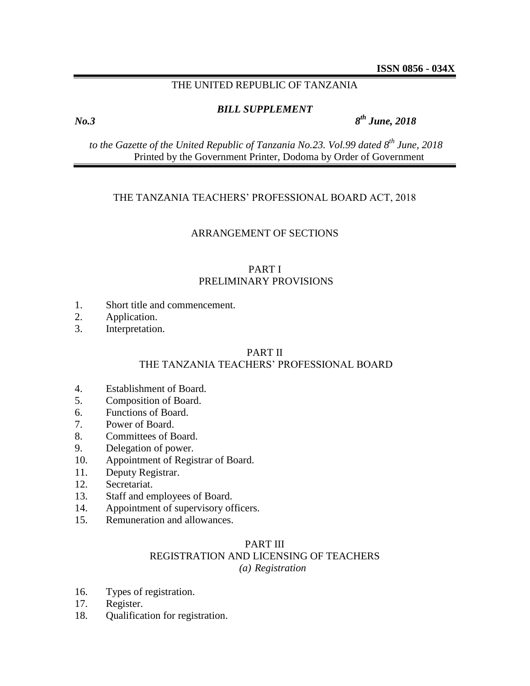# THE UNITED REPUBLIC OF TANZANIA

## *BILL SUPPLEMENT*

*th June, 2018*

*to the Gazette of the United Republic of Tanzania No.23. Vol.99 dated 8 th June, 2018* Printed by the Government Printer, Dodoma by Order of Government

## THE TANZANIA TEACHERS' PROFESSIONAL BOARD ACT, 2018

# ARRANGEMENT OF SECTIONS

# PART I PRELIMINARY PROVISIONS

- 1. Short title and commencement.
- 2. Application.
- 3. Interpretation.

# PART II

# THE TANZANIA TEACHERS' PROFESSIONAL BOARD

- 4. Establishment of Board.
- 5. Composition of Board.
- 6. Functions of Board.
- 7. Power of Board.
- 8. Committees of Board.
- 9. Delegation of power.
- 10. Appointment of Registrar of Board.
- 11. Deputy Registrar.
- 12. Secretariat.
- 13. Staff and employees of Board.
- 14. Appointment of supervisory officers.
- 15. Remuneration and allowances.

# PART III REGISTRATION AND LICENSING OF TEACHERS *(a) Registration*

- 16. Types of registration.
- 17. Register.
- 18. Qualification for registration.

*No.3 8*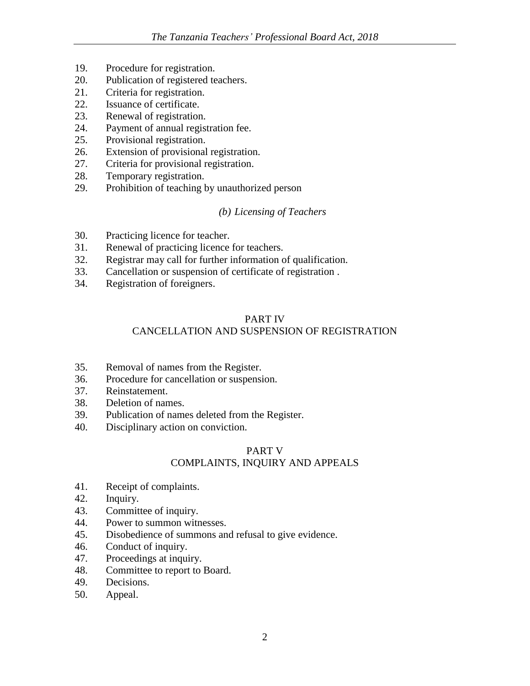- 19. Procedure for registration.
- 20. Publication of registered teachers.
- 21. Criteria for registration.
- 22. Issuance of certificate.
- 23. Renewal of registration.
- 24. Payment of annual registration fee.
- 25. Provisional registration.
- 26. Extension of provisional registration.
- 27. Criteria for provisional registration.
- 28. Temporary registration.
- 29. Prohibition of teaching by unauthorized person

# *(b) Licensing of Teachers*

- 30. Practicing licence for teacher.
- 31. Renewal of practicing licence for teachers.
- 32. Registrar may call for further information of qualification.
- 33. Cancellation or suspension of certificate of registration .
- 34. Registration of foreigners.

# PART IV

# CANCELLATION AND SUSPENSION OF REGISTRATION

- 35. Removal of names from the Register.
- 36. Procedure for cancellation or suspension.
- 37. Reinstatement.
- 38. Deletion of names.
- 39. Publication of names deleted from the Register.
- 40. Disciplinary action on conviction.

# PART V COMPLAINTS, INQUIRY AND APPEALS

- 41. Receipt of complaints.
- 42. Inquiry.
- 43. Committee of inquiry.
- 44. Power to summon witnesses.
- 45. Disobedience of summons and refusal to give evidence.
- 46. Conduct of inquiry.
- 47. Proceedings at inquiry.
- 48. Committee to report to Board.
- 49. Decisions.
- 50. Appeal.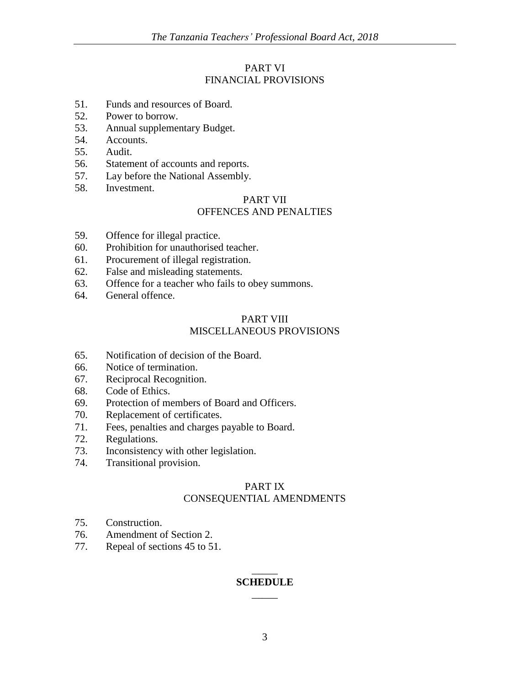# PART VI FINANCIAL PROVISIONS

- 51. Funds and resources of Board.
- 52. Power to borrow.
- 53. Annual supplementary Budget.
- 54. Accounts.
- 55. Audit.
- 56. Statement of accounts and reports.
- 57. Lay before the National Assembly.
- 58. Investment.

# PART VII OFFENCES AND PENALTIES

- 59. Offence for illegal practice.
- 60. Prohibition for unauthorised teacher.
- 61. Procurement of illegal registration.
- 62. False and misleading statements.
- 63. Offence for a teacher who fails to obey summons.
- 64. General offence.

# PART VIII MISCELLANEOUS PROVISIONS

- 65. Notification of decision of the Board.
- 66. Notice of termination.
- 67. Reciprocal Recognition.
- 68. Code of Ethics.
- 69. Protection of members of Board and Officers.
- 70. Replacement of certificates.
- 71. Fees, penalties and charges payable to Board.
- 72. Regulations.
- 73. Inconsistency with other legislation.
- 74. Transitional provision.

# PART IX CONSEQUENTIAL AMENDMENTS

- 75. Construction.
- 76. Amendment of Section 2.
- 77. Repeal of sections 45 to 51.

# \_\_\_\_\_ **SCHEDULE** \_\_\_\_\_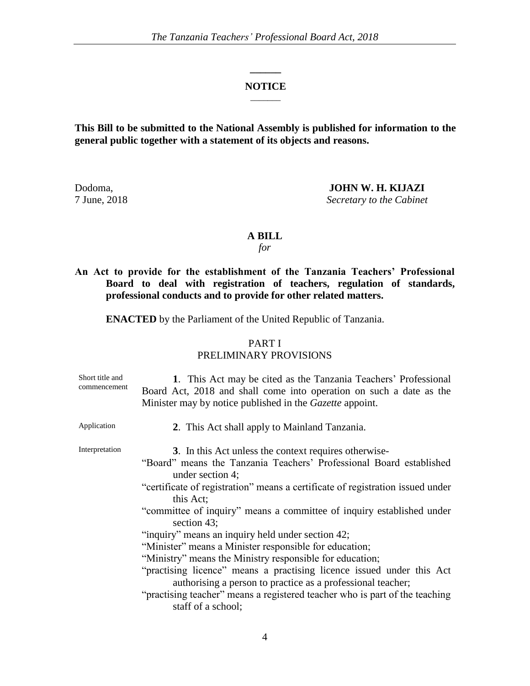### **NOTICE**  $\overline{\phantom{a}}$

**\_\_\_\_\_\_**

**This Bill to be submitted to the National Assembly is published for information to the general public together with a statement of its objects and reasons.**

Dodoma, **JOHN W. H. KIJAZI** 7 June, 2018 *Secretary to the Cabinet*

## **A BILL**

*for*

**An Act to provide for the establishment of the Tanzania Teachers' Professional Board to deal with registration of teachers, regulation of standards, professional conducts and to provide for other related matters.**

**ENACTED** by the Parliament of the United Republic of Tanzania.

# PART I

## PRELIMINARY PROVISIONS

| Short title and<br>commencement | 1. This Act may be cited as the Tanzania Teachers' Professional<br>Board Act, 2018 and shall come into operation on such a date as the<br>Minister may by notice published in the <i>Gazette</i> appoint.                                                                                                                                                                                                                                                                                                                                                                                                                                                                                                                                                       |
|---------------------------------|-----------------------------------------------------------------------------------------------------------------------------------------------------------------------------------------------------------------------------------------------------------------------------------------------------------------------------------------------------------------------------------------------------------------------------------------------------------------------------------------------------------------------------------------------------------------------------------------------------------------------------------------------------------------------------------------------------------------------------------------------------------------|
| Application                     | 2. This Act shall apply to Mainland Tanzania.                                                                                                                                                                                                                                                                                                                                                                                                                                                                                                                                                                                                                                                                                                                   |
| Interpretation                  | 3. In this Act unless the context requires otherwise-<br>"Board" means the Tanzania Teachers' Professional Board established<br>under section 4;<br>"certificate of registration" means a certificate of registration issued under<br>this Act;<br>"committee of inquiry" means a committee of inquiry established under<br>section 43;<br>"inquiry" means an inquiry held under section 42;<br>"Minister" means a Minister responsible for education;<br>"Ministry" means the Ministry responsible for education;<br>"practising licence" means a practising licence issued under this Act<br>authorising a person to practice as a professional teacher;<br>"practising teacher" means a registered teacher who is part of the teaching<br>staff of a school; |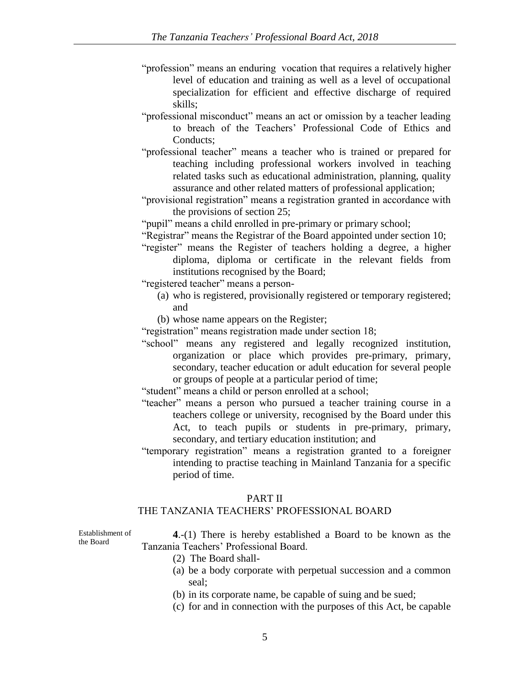- "profession" means an enduring vocation that requires a relatively higher level of education and training as well as a level of occupational specialization for efficient and effective discharge of required skills;
- "professional misconduct" means an act or omission by a teacher leading to breach of the Teachers' Professional Code of Ethics and Conducts;
- "professional teacher" means a teacher who is trained or prepared for teaching including professional workers involved in teaching related tasks such as educational administration, planning, quality assurance and other related matters of professional application;
- "provisional registration" means a registration granted in accordance with the provisions of section 25;

"pupil" means a child enrolled in pre-primary or primary school;

- "Registrar" means the Registrar of the Board appointed under section 10;
- "register" means the Register of teachers holding a degree, a higher diploma, diploma or certificate in the relevant fields from institutions recognised by the Board;

"registered teacher" means a person-

- (a) who is registered, provisionally registered or temporary registered; and
- (b) whose name appears on the Register;
- "registration" means registration made under section 18;
- "school" means any registered and legally recognized institution, organization or place which provides pre-primary, primary, secondary, teacher education or adult education for several people or groups of people at a particular period of time;

"student" means a child or person enrolled at a school;

- "teacher" means a person who pursued a teacher training course in a teachers college or university, recognised by the Board under this Act, to teach pupils or students in pre-primary, primary, secondary, and tertiary education institution; and
- "temporary registration" means a registration granted to a foreigner intending to practise teaching in Mainland Tanzania for a specific period of time.

#### PART II

## THE TANZANIA TEACHERS' PROFESSIONAL BOARD

Establishment of the Board

**4**.-(1) There is hereby established a Board to be known as the Tanzania Teachers' Professional Board.

- (2) The Board shall-
- (a) be a body corporate with perpetual succession and a common seal;
- (b) in its corporate name, be capable of suing and be sued;
- (c) for and in connection with the purposes of this Act, be capable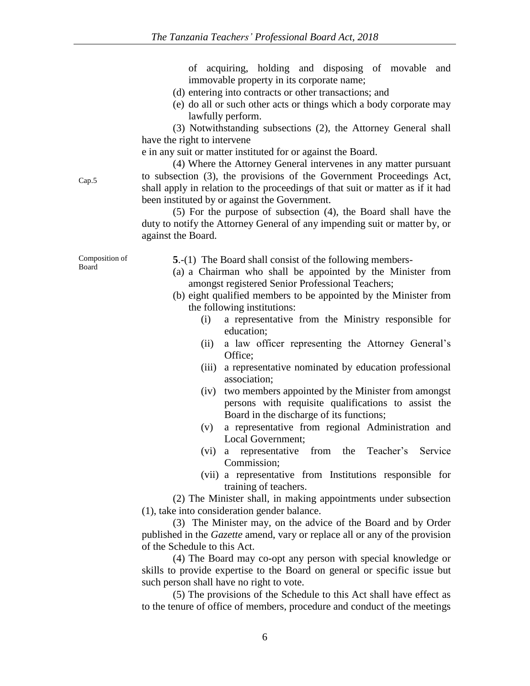of acquiring, holding and disposing of movable and immovable property in its corporate name;

- (d) entering into contracts or other transactions; and
- (e) do all or such other acts or things which a body corporate may lawfully perform.

(3) Notwithstanding subsections (2), the Attorney General shall have the right to intervene

e in any suit or matter instituted for or against the Board.

(4) Where the Attorney General intervenes in any matter pursuant to subsection (3), the provisions of the Government Proceedings Act, shall apply in relation to the proceedings of that suit or matter as if it had been instituted by or against the Government.

(5) For the purpose of subsection (4), the Board shall have the duty to notify the Attorney General of any impending suit or matter by, or against the Board.

Composition of Board

Cap.5

**5**.-(1) The Board shall consist of the following members-

- (a) a Chairman who shall be appointed by the Minister from amongst registered Senior Professional Teachers;
- (b) eight qualified members to be appointed by the Minister from the following institutions:
	- (i) a representative from the Ministry responsible for education;
	- (ii) a law officer representing the Attorney General's Office;
	- (iii) a representative nominated by education professional association;
	- (iv) two members appointed by the Minister from amongst persons with requisite qualifications to assist the Board in the discharge of its functions;
	- (v) a representative from regional Administration and Local Government;
	- (vi) a representative from the Teacher's Service Commission;
	- (vii) a representative from Institutions responsible for training of teachers.

(2) The Minister shall, in making appointments under subsection (1), take into consideration gender balance.

(3) The Minister may, on the advice of the Board and by Order published in the *Gazette* amend, vary or replace all or any of the provision of the Schedule to this Act.

(4) The Board may co-opt any person with special knowledge or skills to provide expertise to the Board on general or specific issue but such person shall have no right to vote.

(5) The provisions of the Schedule to this Act shall have effect as to the tenure of office of members, procedure and conduct of the meetings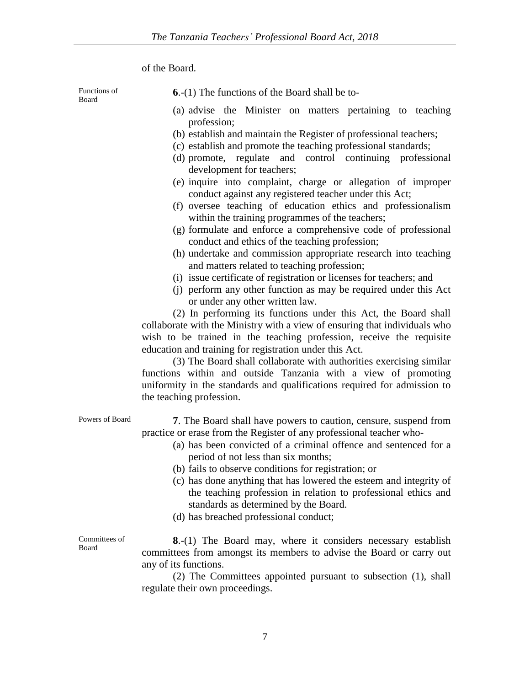of the Board.

Functions of Board

- **6**.-(1) The functions of the Board shall be to-
- (a) advise the Minister on matters pertaining to teaching profession;
- (b) establish and maintain the Register of professional teachers;
- (c) establish and promote the teaching professional standards;
- (d) promote, regulate and control continuing professional development for teachers;
- (e) inquire into complaint, charge or allegation of improper conduct against any registered teacher under this Act;
- (f) oversee teaching of education ethics and professionalism within the training programmes of the teachers;
- (g) formulate and enforce a comprehensive code of professional conduct and ethics of the teaching profession;
- (h) undertake and commission appropriate research into teaching and matters related to teaching profession;
- (i) issue certificate of registration or licenses for teachers; and
- (j) perform any other function as may be required under this Act or under any other written law.

(2) In performing its functions under this Act, the Board shall collaborate with the Ministry with a view of ensuring that individuals who wish to be trained in the teaching profession, receive the requisite education and training for registration under this Act.

(3) The Board shall collaborate with authorities exercising similar functions within and outside Tanzania with a view of promoting uniformity in the standards and qualifications required for admission to the teaching profession.

Powers of Board **7**. The Board shall have powers to caution, censure, suspend from practice or erase from the Register of any professional teacher who-

- (a) has been convicted of a criminal offence and sentenced for a period of not less than six months;
- (b) fails to observe conditions for registration; or
- (c) has done anything that has lowered the esteem and integrity of the teaching profession in relation to professional ethics and standards as determined by the Board.
- (d) has breached professional conduct;

Committees of Board

**8**.-(1) The Board may, where it considers necessary establish committees from amongst its members to advise the Board or carry out any of its functions.

(2) The Committees appointed pursuant to subsection (1), shall regulate their own proceedings.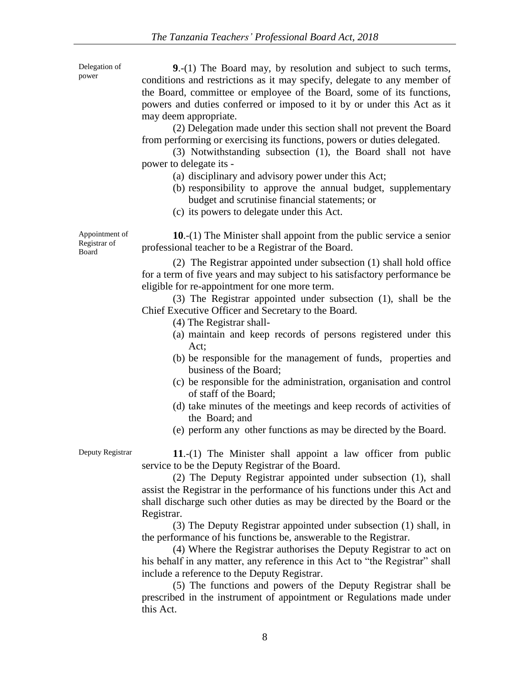| Delegation of<br>power                  | 9.-(1) The Board may, by resolution and subject to such terms,<br>conditions and restrictions as it may specify, delegate to any member of<br>the Board, committee or employee of the Board, some of its functions,<br>powers and duties conferred or imposed to it by or under this Act as it<br>may deem appropriate.<br>(2) Delegation made under this section shall not prevent the Board<br>from performing or exercising its functions, powers or duties delegated.<br>(3) Notwithstanding subsection (1), the Board shall not have<br>power to delegate its -<br>(a) disciplinary and advisory power under this Act;<br>(b) responsibility to approve the annual budget, supplementary<br>budget and scrutinise financial statements; or<br>(c) its powers to delegate under this Act. |
|-----------------------------------------|-----------------------------------------------------------------------------------------------------------------------------------------------------------------------------------------------------------------------------------------------------------------------------------------------------------------------------------------------------------------------------------------------------------------------------------------------------------------------------------------------------------------------------------------------------------------------------------------------------------------------------------------------------------------------------------------------------------------------------------------------------------------------------------------------|
| Appointment of<br>Registrar of<br>Board | 10.-(1) The Minister shall appoint from the public service a senior<br>professional teacher to be a Registrar of the Board.                                                                                                                                                                                                                                                                                                                                                                                                                                                                                                                                                                                                                                                                   |
|                                         | (2) The Registrar appointed under subsection (1) shall hold office<br>for a term of five years and may subject to his satisfactory performance be<br>eligible for re-appointment for one more term.<br>(3) The Registrar appointed under subsection (1), shall be the<br>Chief Executive Officer and Secretary to the Board.<br>(4) The Registrar shall-<br>(a) maintain and keep records of persons registered under this<br>Act:                                                                                                                                                                                                                                                                                                                                                            |
|                                         | (b) be responsible for the management of funds, properties and<br>business of the Board;<br>(c) be responsible for the administration, organisation and control<br>of staff of the Board;<br>(d) take minutes of the meetings and keep records of activities of<br>the Board; and<br>(e) perform any other functions as may be directed by the Board.                                                                                                                                                                                                                                                                                                                                                                                                                                         |
| Deputy Registrar                        | $11.-(1)$ The Minister shall appoint a law officer from public<br>service to be the Deputy Registrar of the Board.<br>(2) The Deputy Registrar appointed under subsection (1), shall<br>assist the Registrar in the performance of his functions under this Act and<br>shall discharge such other duties as may be directed by the Board or the<br>Registrar.<br>(3) The Deputy Registrar appointed under subsection (1) shall, in<br>the performance of his functions be, answerable to the Registrar.<br>(4) Where the Registrar authorises the Deputy Registrar to act on<br>his behalf in any matter, any reference in this Act to "the Registrar" shall                                                                                                                                  |
|                                         | include a reference to the Deputy Registrar.<br>(5) The functions and powers of the Deputy Registrar shall be                                                                                                                                                                                                                                                                                                                                                                                                                                                                                                                                                                                                                                                                                 |

prescribed in the instrument of appointment or Regulations made under this Act.

8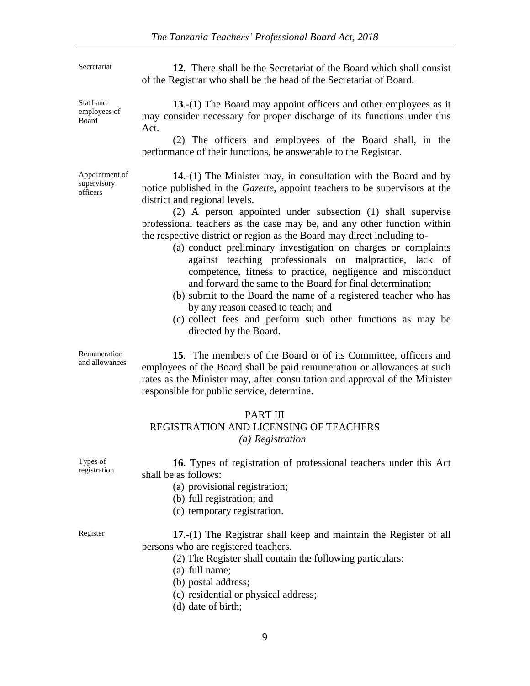Secretariat **12.** There shall be the Secretariat of the Board which shall consist of the Registrar who shall be the head of the Secretariat of Board.

> **13**.-(1) The Board may appoint officers and other employees as it may consider necessary for proper discharge of its functions under this Act.

> (2) The officers and employees of the Board shall, in the performance of their functions, be answerable to the Registrar.

**14**.-(1) The Minister may, in consultation with the Board and by notice published in the *Gazette*, appoint teachers to be supervisors at the district and regional levels.

(2) A person appointed under subsection (1) shall supervise professional teachers as the case may be, and any other function within the respective district or region as the Board may direct including to-

- (a) conduct preliminary investigation on charges or complaints against teaching professionals on malpractice, lack of competence, fitness to practice, negligence and misconduct and forward the same to the Board for final determination;
- (b) submit to the Board the name of a registered teacher who has by any reason ceased to teach; and
- (c) collect fees and perform such other functions as may be directed by the Board.

Remuneration and allowances

**15**. The members of the Board or of its Committee, officers and employees of the Board shall be paid remuneration or allowances at such rates as the Minister may, after consultation and approval of the Minister responsible for public service, determine.

## PART III

## REGISTRATION AND LICENSING OF TEACHERS *(a) Registration*

Types of registration

**16**. Types of registration of professional teachers under this Act shall be as follows:

- (a) provisional registration;
- (b) full registration; and
- (c) temporary registration.

Register **17**.-(1) The Registrar shall keep and maintain the Register of all persons who are registered teachers.

- (2) The Register shall contain the following particulars:
- (a) full name;
- (b) postal address;
- (c) residential or physical address;
- (d) date of birth;

9

Staff and employees of Board

Appointment of supervisory officers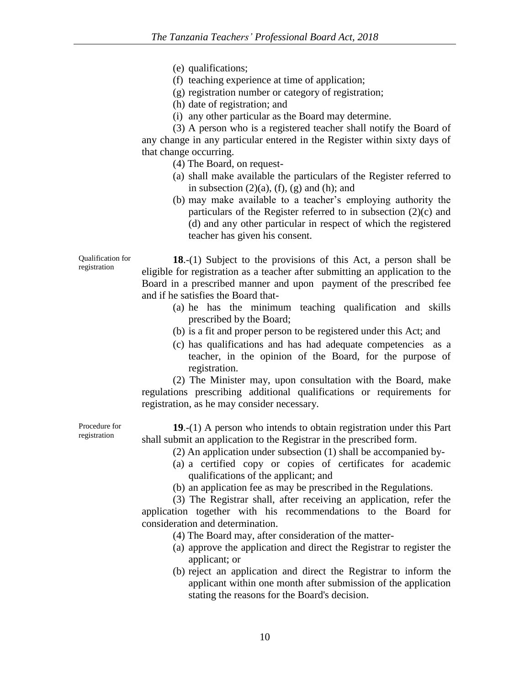- (e) qualifications;
- (f) teaching experience at time of application;
- (g) registration number or category of registration;
- (h) date of registration; and
- (i) any other particular as the Board may determine.

(3) A person who is a registered teacher shall notify the Board of any change in any particular entered in the Register within sixty days of that change occurring.

(4) The Board, on request-

- (a) shall make available the particulars of the Register referred to in subsection  $(2)(a)$ ,  $(f)$ ,  $(g)$  and  $(h)$ ; and
- (b) may make available to a teacher's employing authority the particulars of the Register referred to in subsection (2)(c) and (d) and any other particular in respect of which the registered teacher has given his consent.

**18**.-(1) Subject to the provisions of this Act, a person shall be eligible for registration as a teacher after submitting an application to the Board in a prescribed manner and upon payment of the prescribed fee and if he satisfies the Board that-

- (a) he has the minimum teaching qualification and skills prescribed by the Board;
- (b) is a fit and proper person to be registered under this Act; and
- (c) has qualifications and has had adequate competencies as a teacher, in the opinion of the Board, for the purpose of registration.

(2) The Minister may, upon consultation with the Board, make regulations prescribing additional qualifications or requirements for registration, as he may consider necessary.

**19**.-(1) A person who intends to obtain registration under this Part shall submit an application to the Registrar in the prescribed form.

- (2) An application under subsection (1) shall be accompanied by-
- (a) a certified copy or copies of certificates for academic qualifications of the applicant; and
- (b) an application fee as may be prescribed in the Regulations.

(3) The Registrar shall, after receiving an application, refer the application together with his recommendations to the Board for consideration and determination.

- (4) The Board may, after consideration of the matter-
- (a) approve the application and direct the Registrar to register the applicant; or
- (b) reject an application and direct the Registrar to inform the applicant within one month after submission of the application stating the reasons for the Board's decision.

Procedure for registration

Qualification for registration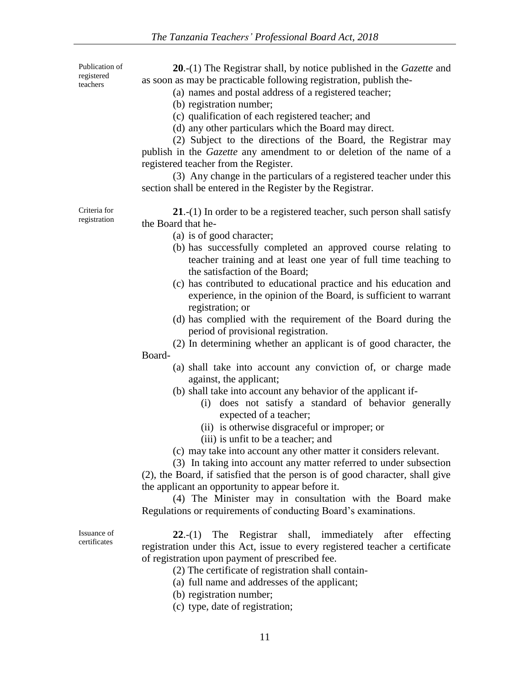Publication of registered teachers

**20**.-(1) The Registrar shall, by notice published in the *Gazette* and as soon as may be practicable following registration, publish the-

- (a) names and postal address of a registered teacher;
- (b) registration number;
- (c) qualification of each registered teacher; and
- (d) any other particulars which the Board may direct.

(2) Subject to the directions of the Board, the Registrar may publish in the *Gazette* any amendment to or deletion of the name of a registered teacher from the Register.

(3) Any change in the particulars of a registered teacher under this section shall be entered in the Register by the Registrar.

Criteria for registration

**21**.-(1) In order to be a registered teacher, such person shall satisfy the Board that he-

- (a) is of good character;
- (b) has successfully completed an approved course relating to teacher training and at least one year of full time teaching to the satisfaction of the Board;
- (c) has contributed to educational practice and his education and experience, in the opinion of the Board, is sufficient to warrant registration; or
- (d) has complied with the requirement of the Board during the period of provisional registration.
- (2) In determining whether an applicant is of good character, the Board-
	- (a) shall take into account any conviction of, or charge made against, the applicant;
	- (b) shall take into account any behavior of the applicant if-
		- (i) does not satisfy a standard of behavior generally expected of a teacher;
		- (ii) is otherwise disgraceful or improper; or
		- (iii) is unfit to be a teacher; and

(c) may take into account any other matter it considers relevant.

(3) In taking into account any matter referred to under subsection (2), the Board, if satisfied that the person is of good character, shall give the applicant an opportunity to appear before it.

(4) The Minister may in consultation with the Board make Regulations or requirements of conducting Board's examinations.

Issuance of certificates

- **22**.-(1) The Registrar shall, immediately after effecting registration under this Act, issue to every registered teacher a certificate of registration upon payment of prescribed fee.
	- (2) The certificate of registration shall contain-
	- (a) full name and addresses of the applicant;
	- (b) registration number;
	- (c) type, date of registration;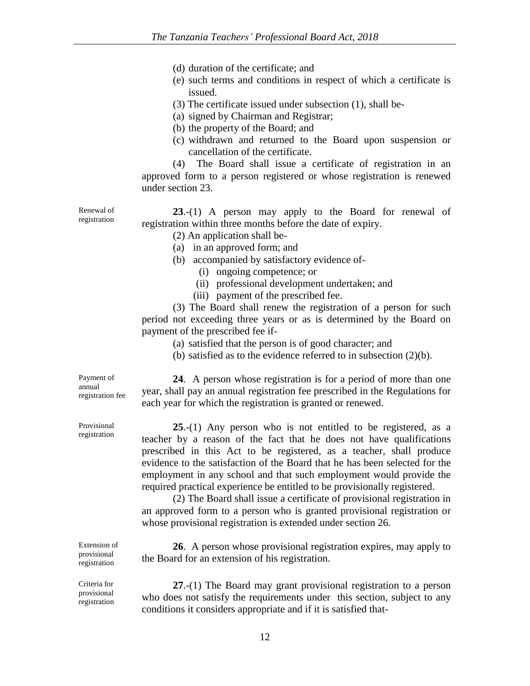- (d) duration of the certificate; and
- (e) such terms and conditions in respect of which a certificate is issued.
- (3) The certificate issued under subsection (1), shall be-
- (a) signed by Chairman and Registrar;
- (b) the property of the Board; and
- (c) withdrawn and returned to the Board upon suspension or cancellation of the certificate.

(4) The Board shall issue a certificate of registration in an approved form to a person registered or whose registration is renewed under section 23.

Renewal of registration

**23**.-(1) A person may apply to the Board for renewal of registration within three months before the date of expiry.

(2) An application shall be-

- (a) in an approved form; and
- (b) accompanied by satisfactory evidence of-
	- (i) ongoing competence; or
	- (ii) professional development undertaken; and
	- (iii) payment of the prescribed fee.

(3) The Board shall renew the registration of a person for such period not exceeding three years or as is determined by the Board on payment of the prescribed fee if-

(a) satisfied that the person is of good character; and

(b) satisfied as to the evidence referred to in subsection (2)(b).

**24**.A person whose registration is for a period of more than one year, shall pay an annual registration fee prescribed in the Regulations for each year for which the registration is granted or renewed.

**25**.-(1) Any person who is not entitled to be registered, as a teacher by a reason of the fact that he does not have qualifications prescribed in this Act to be registered, as a teacher, shall produce evidence to the satisfaction of the Board that he has been selected for the employment in any school and that such employment would provide the required practical experience be entitled to be provisionally registered.

(2) The Board shall issue a certificate of provisional registration in an approved form to a person who is granted provisional registration or whose provisional registration is extended under section 26.

**26**. A person whose provisional registration expires, may apply to the Board for an extension of his registration.

**27**.-(1) The Board may grant provisional registration to a person who does not satisfy the requirements under this section, subject to any conditions it considers appropriate and if it is satisfied that-

Payment of annual registration fee

Provisional registration

Extension of provisional registration

Criteria for provisional registration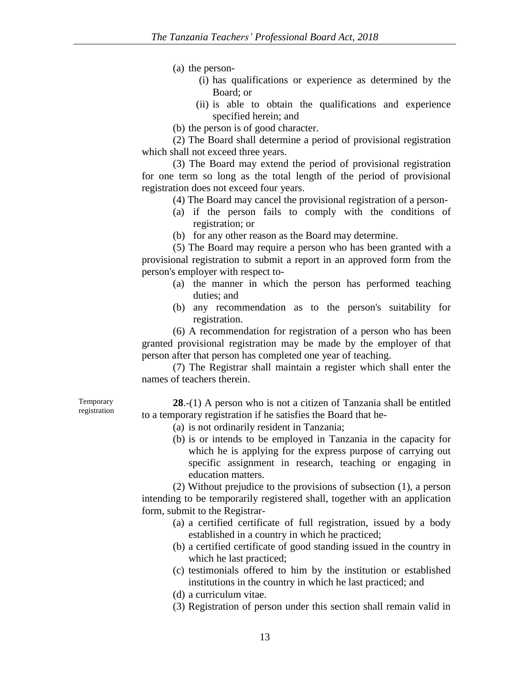(a) the person-

- (i) has qualifications or experience as determined by the Board; or
- (ii) is able to obtain the qualifications and experience specified herein; and
- (b) the person is of good character.

(2) The Board shall determine a period of provisional registration which shall not exceed three years.

(3) The Board may extend the period of provisional registration for one term so long as the total length of the period of provisional registration does not exceed four years.

- (4) The Board may cancel the provisional registration of a person-
- (a) if the person fails to comply with the conditions of registration; or
- (b) for any other reason as the Board may determine.

(5) The Board may require a person who has been granted with a provisional registration to submit a report in an approved form from the person's employer with respect to-

- (a) the manner in which the person has performed teaching duties; and
- (b) any recommendation as to the person's suitability for registration.

(6) A recommendation for registration of a person who has been granted provisional registration may be made by the employer of that person after that person has completed one year of teaching.

(7) The Registrar shall maintain a register which shall enter the names of teachers therein.

Temporary registration

**28**.-(1) A person who is not a citizen of Tanzania shall be entitled to a temporary registration if he satisfies the Board that he-

- (a) is not ordinarily resident in Tanzania;
- (b) is or intends to be employed in Tanzania in the capacity for which he is applying for the express purpose of carrying out specific assignment in research, teaching or engaging in education matters.

(2) Without prejudice to the provisions of subsection (1), a person intending to be temporarily registered shall, together with an application form, submit to the Registrar-

- (a) a certified certificate of full registration, issued by a body established in a country in which he practiced;
- (b) a certified certificate of good standing issued in the country in which he last practiced;
- (c) testimonials offered to him by the institution or established institutions in the country in which he last practiced; and
- (d) a curriculum vitae.
- (3) Registration of person under this section shall remain valid in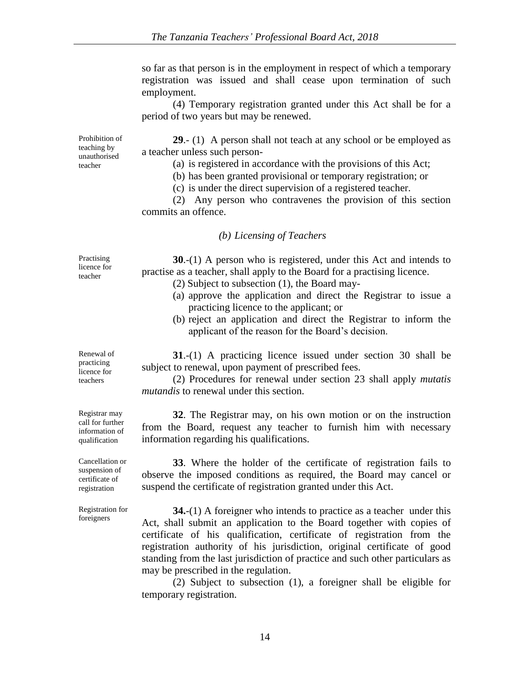so far as that person is in the employment in respect of which a temporary registration was issued and shall cease upon termination of such employment.

(4) Temporary registration granted under this Act shall be for a period of two years but may be renewed.

**29**.- (1) A person shall not teach at any school or be employed as a teacher unless such person-

(a) is registered in accordance with the provisions of this Act;

(b) has been granted provisional or temporary registration; or

(c) is under the direct supervision of a registered teacher.

(2) Any person who contravenes the provision of this section commits an offence.

#### *(b) Licensing of Teachers*

**30**.-(1) A person who is registered, under this Act and intends to practise as a teacher, shall apply to the Board for a practising licence.

- (2) Subject to subsection (1), the Board may-
- (a) approve the application and direct the Registrar to issue a practicing licence to the applicant; or
- (b) reject an application and direct the Registrar to inform the applicant of the reason for the Board's decision.

**31**.-(1) A practicing licence issued under section 30 shall be subject to renewal, upon payment of prescribed fees.

(2) Procedures for renewal under section 23 shall apply *mutatis mutandis* to renewal under this section.

**32**. The Registrar may, on his own motion or on the instruction from the Board, request any teacher to furnish him with necessary information regarding his qualifications.

**33**. Where the holder of the certificate of registration fails to observe the imposed conditions as required, the Board may cancel or suspend the certificate of registration granted under this Act.

**34.**-(1) A foreigner who intends to practice as a teacher under this Act, shall submit an application to the Board together with copies of certificate of his qualification, certificate of registration from the registration authority of his jurisdiction, original certificate of good standing from the last jurisdiction of practice and such other particulars as may be prescribed in the regulation.

(2) Subject to subsection (1), a foreigner shall be eligible for temporary registration.

licence for teacher

Practising

Prohibition of teaching by unauthorised teacher

practicing licence for teachers

Renewal of

Registrar may call for further information of qualification

Cancellation or suspension of certificate of registration

Registration for foreigners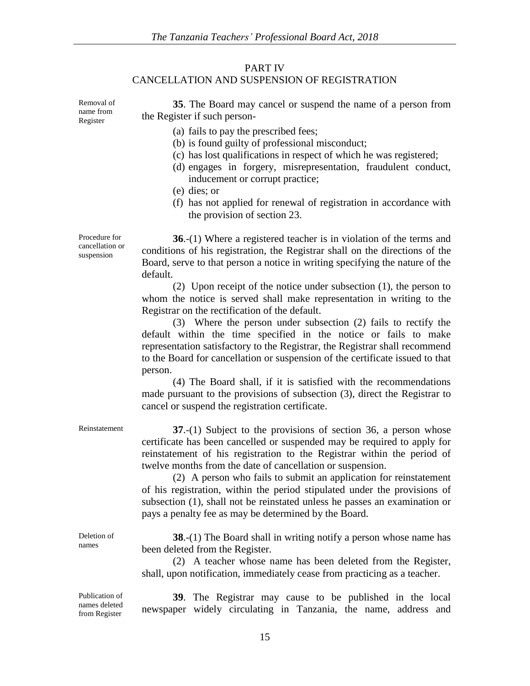## PART IV CANCELLATION AND SUSPENSION OF REGISTRATION

Removal of name from Register

**35**. The Board may cancel or suspend the name of a person from the Register if such person-

- (a) fails to pay the prescribed fees;
- (b) is found guilty of professional misconduct;
- (c) has lost qualifications in respect of which he was registered;
- (d) engages in forgery, misrepresentation, fraudulent conduct, inducement or corrupt practice;
- (e) dies; or
- (f) has not applied for renewal of registration in accordance with the provision of section 23.

**36**.-(1) Where a registered teacher is in violation of the terms and conditions of his registration, the Registrar shall on the directions of the Board, serve to that person a notice in writing specifying the nature of the default.

(2) Upon receipt of the notice under subsection (1), the person to whom the notice is served shall make representation in writing to the Registrar on the rectification of the default.

(3) Where the person under subsection (2) fails to rectify the default within the time specified in the notice or fails to make representation satisfactory to the Registrar, the Registrar shall recommend to the Board for cancellation or suspension of the certificate issued to that person.

(4) The Board shall, if it is satisfied with the recommendations made pursuant to the provisions of subsection (3), direct the Registrar to cancel or suspend the registration certificate.

Reinstatement **37**.-(1) Subject to the provisions of section 36, a person whose certificate has been cancelled or suspended may be required to apply for reinstatement of his registration to the Registrar within the period of twelve months from the date of cancellation or suspension.

> (2) A person who fails to submit an application for reinstatement of his registration, within the period stipulated under the provisions of subsection (1), shall not be reinstated unless he passes an examination or pays a penalty fee as may be determined by the Board.

> **38.**-(1) The Board shall in writing notify a person whose name has been deleted from the Register.

> (2) A teacher whose name has been deleted from the Register, shall, upon notification, immediately cease from practicing as a teacher.

Publication of names deleted from Register

Deletion of names

> **39**. The Registrar may cause to be published in the local newspaper widely circulating in Tanzania, the name, address and

Procedure for cancellation or suspension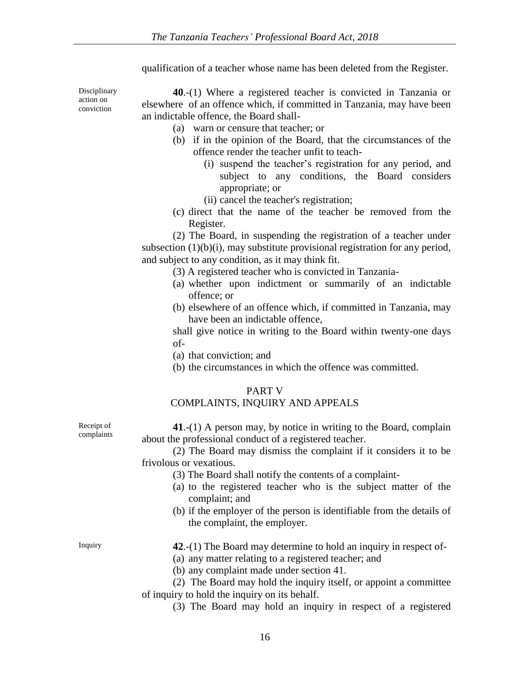qualification of a teacher whose name has been deleted from the Register.

Disciplinary action on conviction

**40**.-(1) Where a registered teacher is convicted in Tanzania or elsewhere of an offence which, if committed in Tanzania, may have been an indictable offence, the Board shall-

- (a) warn or censure that teacher; or
- (b) if in the opinion of the Board, that the circumstances of the offence render the teacher unfit to teach-
	- (i) suspend the teacher's registration for any period, and subject to any conditions, the Board considers appropriate; or
	- (ii) cancel the teacher's registration;
- (c) direct that the name of the teacher be removed from the Register.

(2) The Board, in suspending the registration of a teacher under subsection (1)(b)(i), may substitute provisional registration for any period, and subject to any condition, as it may think fit.

- (3) A registered teacher who is convicted in Tanzania-
- (a) whether upon indictment or summarily of an indictable offence; or
- (b) elsewhere of an offence which, if committed in Tanzania, may have been an indictable offence,

shall give notice in writing to the Board within twenty-one days of-

- (a) that conviction; and
- (b) the circumstances in which the offence was committed.

## PART V

## COMPLAINTS, INQUIRY AND APPEALS

Receipt of complaints

**41**.-(1) A person may, by notice in writing to the Board, complain about the professional conduct of a registered teacher.

- (2) The Board may dismiss the complaint if it considers it to be frivolous or vexatious.
	- (3) The Board shall notify the contents of a complaint-
	- (a) to the registered teacher who is the subject matter of the complaint; and
	- (b) if the employer of the person is identifiable from the details of the complaint, the employer.

- Inquiry **42**.-(1) The Board may determine to hold an inquiry in respect of-
	- (a) any matter relating to a registered teacher; and
	- (b) any complaint made under section 41.
	- (2) The Board may hold the inquiry itself, or appoint a committee of inquiry to hold the inquiry on its behalf.
		- (3) The Board may hold an inquiry in respect of a registered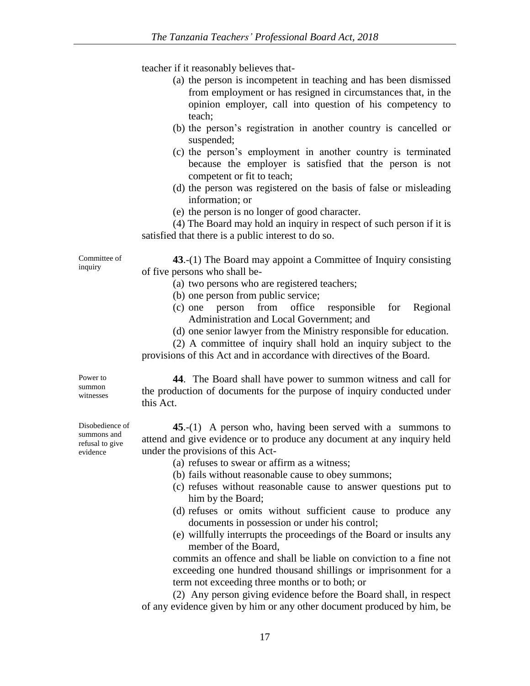teacher if it reasonably believes that-

- (a) the person is incompetent in teaching and has been dismissed from employment or has resigned in circumstances that, in the opinion employer, call into question of his competency to teach;
- (b) the person's registration in another country is cancelled or suspended;
- (c) the person's employment in another country is terminated because the employer is satisfied that the person is not competent or fit to teach;
- (d) the person was registered on the basis of false or misleading information; or
- (e) the person is no longer of good character.

(4) The Board may hold an inquiry in respect of such person if it is satisfied that there is a public interest to do so.

Committee of inquiry

**43**.-(1) The Board may appoint a Committee of Inquiry consisting of five persons who shall be-

- (a) two persons who are registered teachers;
- (b) one person from public service;
- (c) one person from office responsible for Regional Administration and Local Government; and
- (d) one senior lawyer from the Ministry responsible for education.

(2) A committee of inquiry shall hold an inquiry subject to the provisions of this Act and in accordance with directives of the Board.

Power to summon witnesses

**44**. The Board shall have power to summon witness and call for the production of documents for the purpose of inquiry conducted under this Act.

**45**.-(1) A person who, having been served with a summons to attend and give evidence or to produce any document at any inquiry held under the provisions of this Act-

- (a) refuses to swear or affirm as a witness;
- (b) fails without reasonable cause to obey summons;
- (c) refuses without reasonable cause to answer questions put to him by the Board;
- (d) refuses or omits without sufficient cause to produce any documents in possession or under his control;
- (e) willfully interrupts the proceedings of the Board or insults any member of the Board,

commits an offence and shall be liable on conviction to a fine not exceeding one hundred thousand shillings or imprisonment for a term not exceeding three months or to both; or

(2) Any person giving evidence before the Board shall, in respect of any evidence given by him or any other document produced by him, be

Disobedience of summons and refusal to give evidence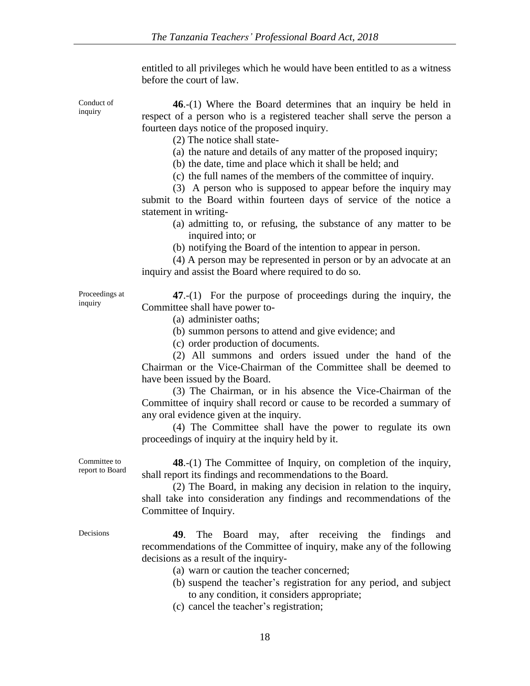entitled to all privileges which he would have been entitled to as a witness before the court of law.

Conduct of inquiry

**46**.-(1) Where the Board determines that an inquiry be held in respect of a person who is a registered teacher shall serve the person a fourteen days notice of the proposed inquiry.

(2) The notice shall state-

- (a) the nature and details of any matter of the proposed inquiry;
- (b) the date, time and place which it shall be held; and
- (c) the full names of the members of the committee of inquiry.

(3) A person who is supposed to appear before the inquiry may submit to the Board within fourteen days of service of the notice a statement in writing-

- (a) admitting to, or refusing, the substance of any matter to be inquired into; or
- (b) notifying the Board of the intention to appear in person.

(4) A person may be represented in person or by an advocate at an inquiry and assist the Board where required to do so.

Proceedings at inquiry

**47**.-(1) For the purpose of proceedings during the inquiry, the Committee shall have power to-

- (a) administer oaths;
- (b) summon persons to attend and give evidence; and

(c) order production of documents.

(2) All summons and orders issued under the hand of the Chairman or the Vice-Chairman of the Committee shall be deemed to have been issued by the Board.

(3) The Chairman, or in his absence the Vice-Chairman of the Committee of inquiry shall record or cause to be recorded a summary of any oral evidence given at the inquiry.

(4) The Committee shall have the power to regulate its own proceedings of inquiry at the inquiry held by it.

Committee to report to Board

**48**.-(1) The Committee of Inquiry, on completion of the inquiry, shall report its findings and recommendations to the Board.

(2) The Board, in making any decision in relation to the inquiry, shall take into consideration any findings and recommendations of the Committee of Inquiry.

- Decisions **49**. The Board may, after receiving the findings and recommendations of the Committee of inquiry, make any of the following decisions as a result of the inquiry-
	- (a) warn or caution the teacher concerned;
	- (b) suspend the teacher's registration for any period, and subject to any condition, it considers appropriate;
	- (c) cancel the teacher's registration;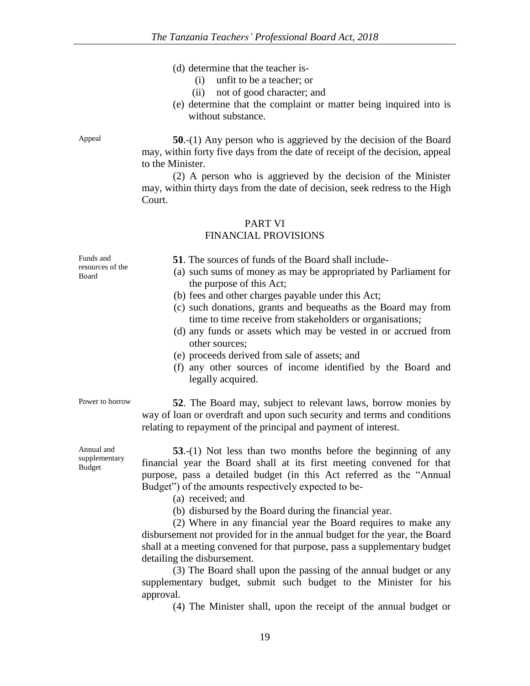- (d) determine that the teacher is-
	- (i) unfit to be a teacher; or
	- (ii) not of good character; and
- (e) determine that the complaint or matter being inquired into is without substance.

Appeal **50**.-(1) Any person who is aggrieved by the decision of the Board may, within forty five days from the date of receipt of the decision, appeal to the Minister.

> (2) A person who is aggrieved by the decision of the Minister may, within thirty days from the date of decision, seek redress to the High Court.

## PART VI FINANCIAL PROVISIONS

Funds and resources of the Board **51**. The sources of funds of the Board shall include- (a) such sums of money as may be appropriated by Parliament for the purpose of this Act; (b) fees and other charges payable under this Act; (c) such donations, grants and bequeaths as the Board may from time to time receive from stakeholders or organisations; (d) any funds or assets which may be vested in or accrued from other sources; (e) proceeds derived from sale of assets; and (f) any other sources of income identified by the Board and legally acquired. Power to borrow **52**. The Board may, subject to relevant laws, borrow monies by

way of loan or overdraft and upon such security and terms and conditions relating to repayment of the principal and payment of interest.

**53**.-(1) Not less than two months before the beginning of any financial year the Board shall at its first meeting convened for that purpose, pass a detailed budget (in this Act referred as the "Annual Budget") of the amounts respectively expected to be-

(a) received; and

(b) disbursed by the Board during the financial year.

(2) Where in any financial year the Board requires to make any disbursement not provided for in the annual budget for the year, the Board shall at a meeting convened for that purpose, pass a supplementary budget detailing the disbursement.

(3) The Board shall upon the passing of the annual budget or any supplementary budget, submit such budget to the Minister for his approval.

(4) The Minister shall, upon the receipt of the annual budget or

Annual and supplementary Budget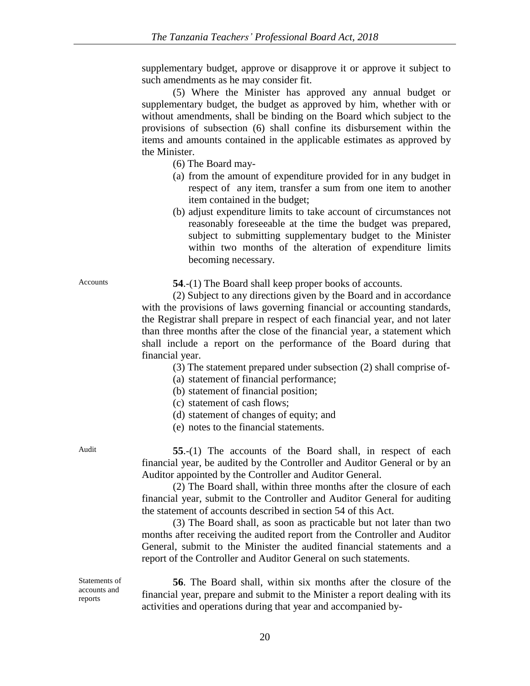supplementary budget, approve or disapprove it or approve it subject to such amendments as he may consider fit.

(5) Where the Minister has approved any annual budget or supplementary budget, the budget as approved by him, whether with or without amendments, shall be binding on the Board which subject to the provisions of subsection (6) shall confine its disbursement within the items and amounts contained in the applicable estimates as approved by the Minister.

(6) The Board may-

- (a) from the amount of expenditure provided for in any budget in respect of any item, transfer a sum from one item to another item contained in the budget;
- (b) adjust expenditure limits to take account of circumstances not reasonably foreseeable at the time the budget was prepared, subject to submitting supplementary budget to the Minister within two months of the alteration of expenditure limits becoming necessary.

Accounts **54.-(1)** The Board shall keep proper books of accounts.

(2) Subject to any directions given by the Board and in accordance with the provisions of laws governing financial or accounting standards, the Registrar shall prepare in respect of each financial year, and not later than three months after the close of the financial year, a statement which shall include a report on the performance of the Board during that financial year.

(3) The statement prepared under subsection (2) shall comprise of-

(a) statement of financial performance;

(b) statement of financial position;

- (c) statement of cash flows;
- (d) statement of changes of equity; and
- (e) notes to the financial statements.

Audit **55**.-(1) The accounts of the Board shall, in respect of each financial year, be audited by the Controller and Auditor General or by an Auditor appointed by the Controller and Auditor General.

> (2) The Board shall, within three months after the closure of each financial year, submit to the Controller and Auditor General for auditing the statement of accounts described in section 54 of this Act.

> (3) The Board shall, as soon as practicable but not later than two months after receiving the audited report from the Controller and Auditor General, submit to the Minister the audited financial statements and a report of the Controller and Auditor General on such statements.

Statements of accounts and reports

**56**. The Board shall, within six months after the closure of the financial year, prepare and submit to the Minister a report dealing with its activities and operations during that year and accompanied by-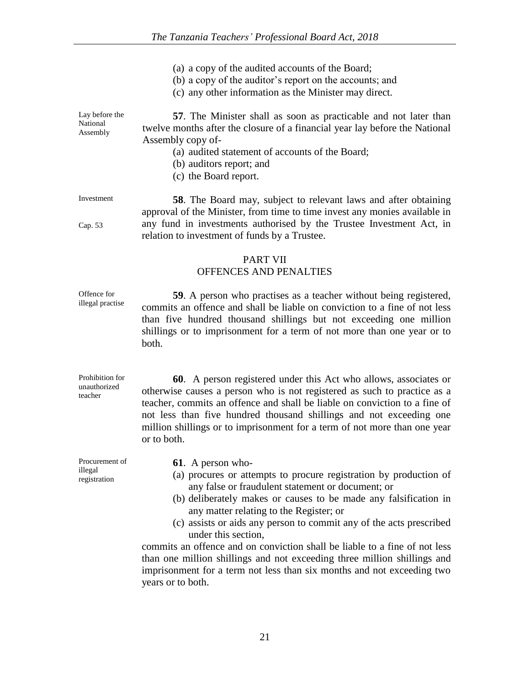- (a) a copy of the audited accounts of the Board;
- (b) a copy of the auditor's report on the accounts; and
- (c) any other information as the Minister may direct.

Lay before the National Assembly **57**. The Minister shall as soon as practicable and not later than twelve months after the closure of a financial year lay before the National Assembly copy of-

- (a) audited statement of accounts of the Board;
- (b) auditors report; and
- (c) the Board report.

Investment

Cap. 53

Offence for

teacher

**58**. The Board may, subject to relevant laws and after obtaining approval of the Minister, from time to time invest any monies available in any fund in investments authorised by the Trustee Investment Act, in relation to investment of funds by a Trustee.

# PART VII

# OFFENCES AND PENALTIES

illegal practise **59**. A person who practises as a teacher without being registered, commits an offence and shall be liable on conviction to a fine of not less than five hundred thousand shillings but not exceeding one million shillings or to imprisonment for a term of not more than one year or to both.

Prohibition for unauthorized **60**. A person registered under this Act who allows, associates or otherwise causes a person who is not registered as such to practice as a teacher, commits an offence and shall be liable on conviction to a fine of not less than five hundred thousand shillings and not exceeding one million shillings or to imprisonment for a term of not more than one year or to both.

Procurement of illegal registration **61**. A person who- (a) procures or attempts to procure registration by production of any false or fraudulent statement or document; or (b) deliberately makes or causes to be made any falsification in any matter relating to the Register; or (c) assists or aids any person to commit any of the acts prescribed under this section, commits an offence and on conviction shall be liable to a fine of not less

than one million shillings and not exceeding three million shillings and imprisonment for a term not less than six months and not exceeding two years or to both.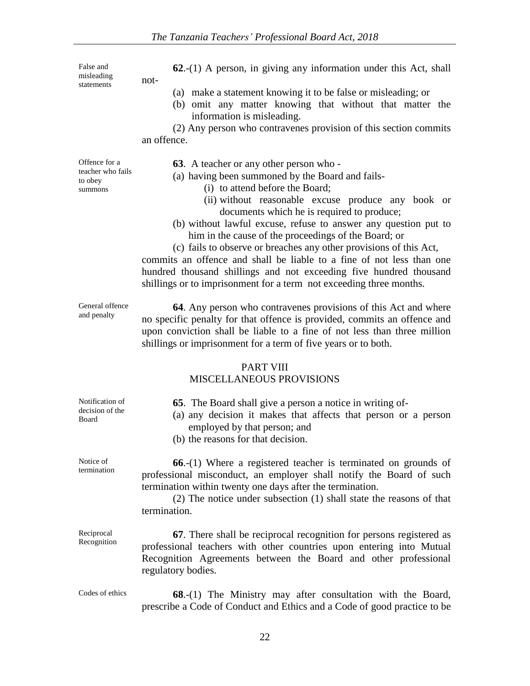False and misleading statements

**62**.-(1) A person, in giving any information under this Act, shall

- (a) make a statement knowing it to be false or misleading; or
- (b) omit any matter knowing that without that matter the information is misleading.

(2) Any person who contravenes provision of this section commits an offence.

not-

Offence for a teacher who fails to obey summons

**63**. A teacher or any other person who -

- (a) having been summoned by the Board and fails-
	- (i) to attend before the Board;
	- (ii) without reasonable excuse produce any book or documents which he is required to produce;
- (b) without lawful excuse, refuse to answer any question put to him in the cause of the proceedings of the Board; or
- (c) fails to observe or breaches any other provisions of this Act,

commits an offence and shall be liable to a fine of not less than one hundred thousand shillings and not exceeding five hundred thousand shillings or to imprisonment for a term not exceeding three months.

General offence and penalty

**64**. Any person who contravenes provisions of this Act and where no specific penalty for that offence is provided, commits an offence and upon conviction shall be liable to a fine of not less than three million shillings or imprisonment for a term of five years or to both.

# PART VIII

# MISCELLANEOUS PROVISIONS

| Notification of<br>decision of the<br>Board | <b>65.</b> The Board shall give a person a notice in writing of-<br>(a) any decision it makes that affects that person or a person<br>employed by that person; and<br>(b) the reasons for that decision.                                                                                         |
|---------------------------------------------|--------------------------------------------------------------------------------------------------------------------------------------------------------------------------------------------------------------------------------------------------------------------------------------------------|
| Notice of<br>termination                    | $66$ .-(1) Where a registered teacher is terminated on grounds of<br>professional misconduct, an employer shall notify the Board of such<br>termination within twenty one days after the termination.<br>$(2)$ The notice under subsection $(1)$ shall state the reasons of that<br>termination. |
| Reciprocal<br>Recognition                   | 67. There shall be reciprocal recognition for persons registered as<br>professional teachers with other countries upon entering into Mutual<br>Recognition Agreements between the Board and other professional<br>regulatory bodies.                                                             |

Codes of ethics **68**.-(1) The Ministry may after consultation with the Board, prescribe a Code of Conduct and Ethics and a Code of good practice to be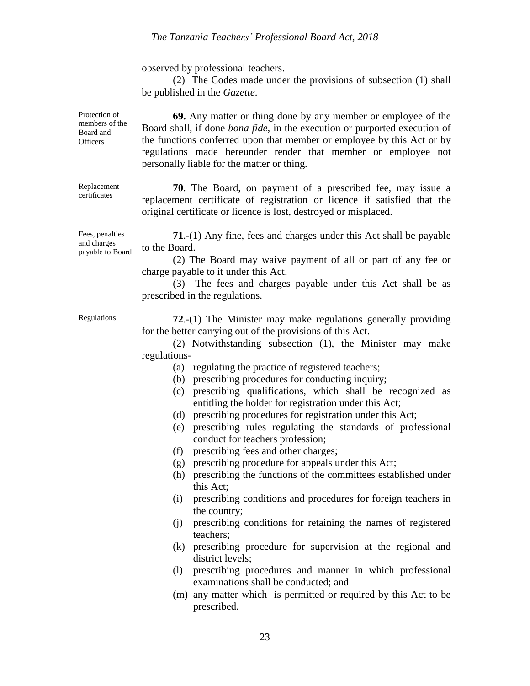observed by professional teachers.

(2) The Codes made under the provisions of subsection (1) shall be published in the *Gazette*.

**69.** Any matter or thing done by any member or employee of the Board shall, if done *bona fide,* in the execution or purported execution of the functions conferred upon that member or employee by this Act or by regulations made hereunder render that member or employee not personally liable for the matter or thing.

**70**. The Board, on payment of a prescribed fee, may issue a replacement certificate of registration or licence if satisfied that the original certificate or licence is lost, destroyed or misplaced.

**71**.-(1) Any fine, fees and charges under this Act shall be payable to the Board.

(2) The Board may waive payment of all or part of any fee or charge payable to it under this Act.

(3) The fees and charges payable under this Act shall be as prescribed in the regulations.

Regulations **72**.-(1) The Minister may make regulations generally providing for the better carrying out of the provisions of this Act.

> (2) Notwithstanding subsection (1), the Minister may make regulations-

- (a) regulating the practice of registered teachers;
- (b) prescribing procedures for conducting inquiry;
- (c) prescribing qualifications, which shall be recognized as entitling the holder for registration under this Act;
- (d) prescribing procedures for registration under this Act;
- (e) prescribing rules regulating the standards of professional conduct for teachers profession;
- (f) prescribing fees and other charges;
- (g) prescribing procedure for appeals under this Act;
- (h) prescribing the functions of the committees established under this Act;
- (i) prescribing conditions and procedures for foreign teachers in the country;
- (j) prescribing conditions for retaining the names of registered teachers;
- (k) prescribing procedure for supervision at the regional and district levels;
- (l) prescribing procedures and manner in which professional examinations shall be conducted; and
- (m) any matter which is permitted or required by this Act to be prescribed.

Replacement

Protection of members of the Board and **Officers** 

certificates

Fees, penalties and charges payable to Board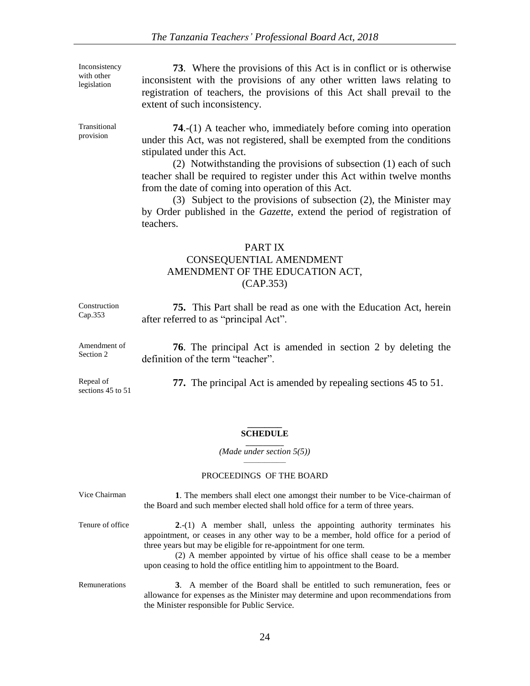Inconsistency with other legislation

**73**. Where the provisions of this Act is in conflict or is otherwise inconsistent with the provisions of any other written laws relating to registration of teachers, the provisions of this Act shall prevail to the extent of such inconsistency.

Transitional provision

**74**.-(1) A teacher who, immediately before coming into operation under this Act, was not registered, shall be exempted from the conditions stipulated under this Act.

(2) Notwithstanding the provisions of subsection (1) each of such teacher shall be required to register under this Act within twelve months from the date of coming into operation of this Act.

(3) Subject to the provisions of subsection (2), the Minister may by Order published in the *Gazette*, extend the period of registration of teachers.

# PART IX CONSEQUENTIAL AMENDMENT AMENDMENT OF THE EDUCATION ACT, (CAP.353)

| Construction                   | <b>75.</b> This Part shall be read as one with the Education Act, herein |
|--------------------------------|--------------------------------------------------------------------------|
| Cap.353                        | after referred to as "principal Act".                                    |
| Amendment of                   | <b>76.</b> The principal Act is amended in section 2 by deleting the     |
| Section 2                      | definition of the term "teacher".                                        |
| Repeal of<br>sections 45 to 51 | <b>77.</b> The principal Act is amended by repealing sections 45 to 51.  |

#### **\_\_\_\_\_\_\_\_ SCHEDULE \_\_\_\_\_\_\_\_\_\_\_**

*(Made under section 5(5)) \_\_\_\_\_\_\_\_\_\_\_\_\_\_*

#### PROCEEDINGS OF THE BOARD

| Vice Chairman    | 1. The members shall elect one amongst their number to be Vice-chairman of<br>the Board and such member elected shall hold office for a term of three years.                                                                                                                                                                                                                                |
|------------------|---------------------------------------------------------------------------------------------------------------------------------------------------------------------------------------------------------------------------------------------------------------------------------------------------------------------------------------------------------------------------------------------|
| Tenure of office | 2.-(1) A member shall, unless the appointing authority terminates his<br>appointment, or ceases in any other way to be a member, hold office for a period of<br>three years but may be eligible for re-appointment for one term.<br>(2) A member appointed by virtue of his office shall cease to be a member<br>upon ceasing to hold the office entitling him to appointment to the Board. |
| Remunerations    | 3. A member of the Board shall be entitled to such remuneration, fees or<br>allowance for expenses as the Minister may determine and upon recommendations from                                                                                                                                                                                                                              |

the Minister responsible for Public Service.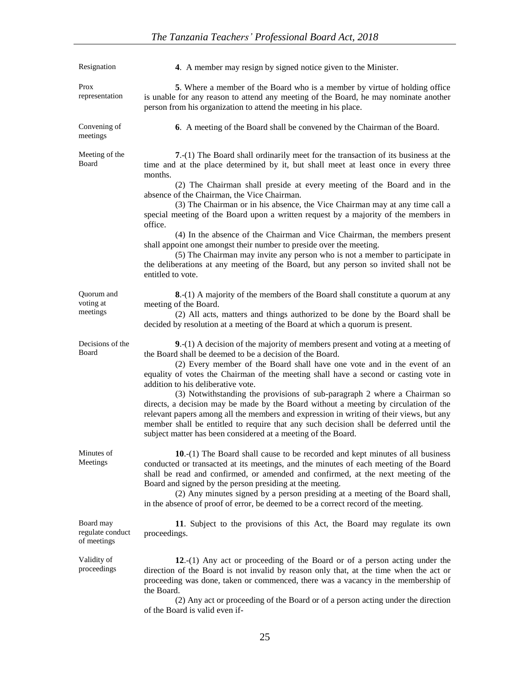| Resignation                                  | 4. A member may resign by signed notice given to the Minister.                                                                                                                                                                                                                                                                                                                                                                                                                                                                                                                                                                                                                                                                                                                                                                                    |
|----------------------------------------------|---------------------------------------------------------------------------------------------------------------------------------------------------------------------------------------------------------------------------------------------------------------------------------------------------------------------------------------------------------------------------------------------------------------------------------------------------------------------------------------------------------------------------------------------------------------------------------------------------------------------------------------------------------------------------------------------------------------------------------------------------------------------------------------------------------------------------------------------------|
| Prox<br>representation                       | 5. Where a member of the Board who is a member by virtue of holding office<br>is unable for any reason to attend any meeting of the Board, he may nominate another<br>person from his organization to attend the meeting in his place.                                                                                                                                                                                                                                                                                                                                                                                                                                                                                                                                                                                                            |
| Convening of<br>meetings                     | 6. A meeting of the Board shall be convened by the Chairman of the Board.                                                                                                                                                                                                                                                                                                                                                                                                                                                                                                                                                                                                                                                                                                                                                                         |
| Meeting of the<br>Board                      | 7.-(1) The Board shall ordinarily meet for the transaction of its business at the<br>time and at the place determined by it, but shall meet at least once in every three<br>months.<br>(2) The Chairman shall preside at every meeting of the Board and in the<br>absence of the Chairman, the Vice Chairman.<br>(3) The Chairman or in his absence, the Vice Chairman may at any time call a<br>special meeting of the Board upon a written request by a majority of the members in<br>office.<br>(4) In the absence of the Chairman and Vice Chairman, the members present<br>shall appoint one amongst their number to preside over the meeting.<br>(5) The Chairman may invite any person who is not a member to participate in<br>the deliberations at any meeting of the Board, but any person so invited shall not be<br>entitled to vote. |
| Quorum and<br>voting at<br>meetings          | 8.-(1) A majority of the members of the Board shall constitute a quorum at any<br>meeting of the Board.<br>(2) All acts, matters and things authorized to be done by the Board shall be<br>decided by resolution at a meeting of the Board at which a quorum is present.                                                                                                                                                                                                                                                                                                                                                                                                                                                                                                                                                                          |
| Decisions of the<br>Board                    | 9.-(1) A decision of the majority of members present and voting at a meeting of<br>the Board shall be deemed to be a decision of the Board.<br>(2) Every member of the Board shall have one vote and in the event of an<br>equality of votes the Chairman of the meeting shall have a second or casting vote in<br>addition to his deliberative vote.<br>(3) Notwithstanding the provisions of sub-paragraph 2 where a Chairman so<br>directs, a decision may be made by the Board without a meeting by circulation of the<br>relevant papers among all the members and expression in writing of their views, but any<br>member shall be entitled to require that any such decision shall be deferred until the<br>subject matter has been considered at a meeting of the Board.                                                                  |
| Minutes of<br>Meetings                       | $10-(1)$ The Board shall cause to be recorded and kept minutes of all business<br>conducted or transacted at its meetings, and the minutes of each meeting of the Board<br>shall be read and confirmed, or amended and confirmed, at the next meeting of the<br>Board and signed by the person presiding at the meeting.<br>(2) Any minutes signed by a person presiding at a meeting of the Board shall,<br>in the absence of proof of error, be deemed to be a correct record of the meeting.                                                                                                                                                                                                                                                                                                                                                   |
| Board may<br>regulate conduct<br>of meetings | 11. Subject to the provisions of this Act, the Board may regulate its own<br>proceedings.                                                                                                                                                                                                                                                                                                                                                                                                                                                                                                                                                                                                                                                                                                                                                         |
| Validity of<br>proceedings                   | 12.-(1) Any act or proceeding of the Board or of a person acting under the<br>direction of the Board is not invalid by reason only that, at the time when the act or<br>proceeding was done, taken or commenced, there was a vacancy in the membership of<br>the Board.<br>(2) Any act or proceeding of the Board or of a person acting under the direction                                                                                                                                                                                                                                                                                                                                                                                                                                                                                       |

of the Board is valid even if-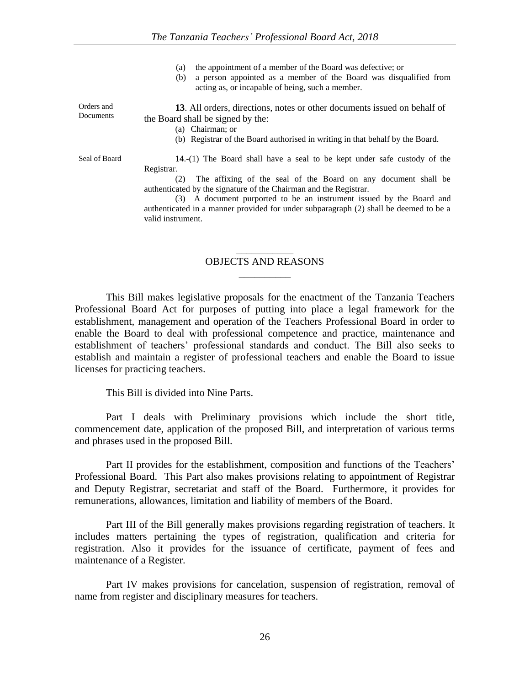|                         | the appointment of a member of the Board was defective; or<br>(a)<br>a person appointed as a member of the Board was disqualified from<br>(b)<br>acting as, or incapable of being, such a member.                                                                                                                                                                                                                          |
|-------------------------|----------------------------------------------------------------------------------------------------------------------------------------------------------------------------------------------------------------------------------------------------------------------------------------------------------------------------------------------------------------------------------------------------------------------------|
| Orders and<br>Documents | 13. All orders, directions, notes or other documents issued on behalf of<br>the Board shall be signed by the:<br>(a) Chairman; or<br>(b) Registrar of the Board authorised in writing in that behalf by the Board.                                                                                                                                                                                                         |
| Seal of Board           | 14.-(1) The Board shall have a seal to be kept under safe custody of the<br>Registrar.<br>The affixing of the seal of the Board on any document shall be<br>(2)<br>authenticated by the signature of the Chairman and the Registrar.<br>(3) A document purported to be an instrument issued by the Board and<br>authenticated in a manner provided for under subparagraph (2) shall be deemed to be a<br>valid instrument. |

# \_\_\_\_\_\_\_\_\_\_\_ OBJECTS AND REASONS  $\overline{\phantom{a}}$

This Bill makes legislative proposals for the enactment of the Tanzania Teachers Professional Board Act for purposes of putting into place a legal framework for the establishment, management and operation of the Teachers Professional Board in order to enable the Board to deal with professional competence and practice, maintenance and establishment of teachers' professional standards and conduct. The Bill also seeks to establish and maintain a register of professional teachers and enable the Board to issue licenses for practicing teachers.

This Bill is divided into Nine Parts.

Part I deals with Preliminary provisions which include the short title, commencement date, application of the proposed Bill, and interpretation of various terms and phrases used in the proposed Bill.

Part II provides for the establishment, composition and functions of the Teachers' Professional Board. This Part also makes provisions relating to appointment of Registrar and Deputy Registrar, secretariat and staff of the Board. Furthermore, it provides for remunerations, allowances, limitation and liability of members of the Board.

Part III of the Bill generally makes provisions regarding registration of teachers. It includes matters pertaining the types of registration, qualification and criteria for registration. Also it provides for the issuance of certificate, payment of fees and maintenance of a Register.

Part IV makes provisions for cancelation, suspension of registration, removal of name from register and disciplinary measures for teachers.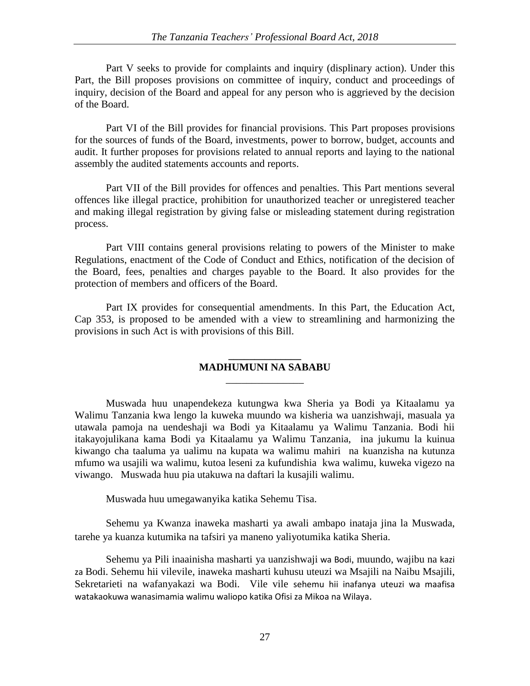Part V seeks to provide for complaints and inquiry (displinary action). Under this Part, the Bill proposes provisions on committee of inquiry, conduct and proceedings of inquiry, decision of the Board and appeal for any person who is aggrieved by the decision of the Board.

Part VI of the Bill provides for financial provisions. This Part proposes provisions for the sources of funds of the Board, investments, power to borrow, budget, accounts and audit. It further proposes for provisions related to annual reports and laying to the national assembly the audited statements accounts and reports.

Part VII of the Bill provides for offences and penalties. This Part mentions several offences like illegal practice, prohibition for unauthorized teacher or unregistered teacher and making illegal registration by giving false or misleading statement during registration process.

Part VIII contains general provisions relating to powers of the Minister to make Regulations, enactment of the Code of Conduct and Ethics, notification of the decision of the Board, fees, penalties and charges payable to the Board. It also provides for the protection of members and officers of the Board.

Part IX provides for consequential amendments. In this Part, the Education Act, Cap 353, is proposed to be amended with a view to streamlining and harmonizing the provisions in such Act is with provisions of this Bill.

# **\_\_\_\_\_\_\_\_\_\_\_\_\_\_ MADHUMUNI NA SABABU** \_\_\_\_\_\_\_\_\_\_\_\_\_\_\_

Muswada huu unapendekeza kutungwa kwa Sheria ya Bodi ya Kitaalamu ya Walimu Tanzania kwa lengo la kuweka muundo wa kisheria wa uanzishwaji, masuala ya utawala pamoja na uendeshaji wa Bodi ya Kitaalamu ya Walimu Tanzania. Bodi hii itakayojulikana kama Bodi ya Kitaalamu ya Walimu Tanzania, ina jukumu la kuinua kiwango cha taaluma ya ualimu na kupata wa walimu mahiri na kuanzisha na kutunza mfumo wa usajili wa walimu, kutoa leseni za kufundishia kwa walimu, kuweka vigezo na viwango. Muswada huu pia utakuwa na daftari la kusajili walimu.

Muswada huu umegawanyika katika Sehemu Tisa.

Sehemu ya Kwanza inaweka masharti ya awali ambapo inataja jina la Muswada, tarehe ya kuanza kutumika na tafsiri ya maneno yaliyotumika katika Sheria.

Sehemu ya Pili inaainisha masharti ya uanzishwaji wa Bodi, muundo, wajibu na kazi za Bodi. Sehemu hii vilevile, inaweka masharti kuhusu uteuzi wa Msajili na Naibu Msajili, Sekretarieti na wafanyakazi wa Bodi. Vile vile sehemu hii inafanya uteuzi wa maafisa watakaokuwa wanasimamia walimu waliopo katika Ofisi za Mikoa na Wilaya.